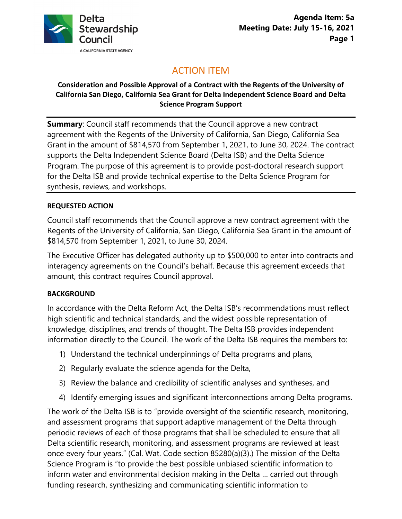

# ACTION ITEM

#### **Consideration and Possible Approval of a Contract with the Regents of the University of California San Diego, California Sea Grant for Delta Independent Science Board and Delta Science Program Support**

**Summary**: Council staff recommends that the Council approve a new contract agreement with the Regents of the University of California, San Diego, California Sea Grant in the amount of \$814,570 from September 1, 2021, to June 30, 2024. The contract supports the Delta Independent Science Board (Delta ISB) and the Delta Science Program. The purpose of this agreement is to provide post-doctoral research support for the Delta ISB and provide technical expertise to the Delta Science Program for synthesis, reviews, and workshops.

#### **REQUESTED ACTION**

Council staff recommends that the Council approve a new contract agreement with the Regents of the University of California, San Diego, California Sea Grant in the amount of \$814,570 from September 1, 2021, to June 30, 2024.

The Executive Officer has delegated authority up to \$500,000 to enter into contracts and interagency agreements on the Council's behalf. Because this agreement exceeds that amount, this contract requires Council approval.

#### **BACKGROUND**

In accordance with the Delta Reform Act, the Delta ISB's recommendations must reflect high scientific and technical standards, and the widest possible representation of knowledge, disciplines, and trends of thought. The Delta ISB provides independent information directly to the Council. The work of the Delta ISB requires the members to:

- 1) Understand the technical underpinnings of Delta programs and plans,
- 2) Regularly evaluate the science agenda for the Delta,
- 3) Review the balance and credibility of scientific analyses and syntheses, and
- 4) Identify emerging issues and significant interconnections among Delta programs.

The work of the Delta ISB is to "provide oversight of the scientific research, monitoring, and assessment programs that support adaptive management of the Delta through periodic reviews of each of those programs that shall be scheduled to ensure that all Delta scientific research, monitoring, and assessment programs are reviewed at least once every four years." (Cal. Wat. Code section 85280(a)(3).) The mission of the Delta Science Program is "to provide the best possible unbiased scientific information to inform water and environmental decision making in the Delta … carried out through funding research, synthesizing and communicating scientific information to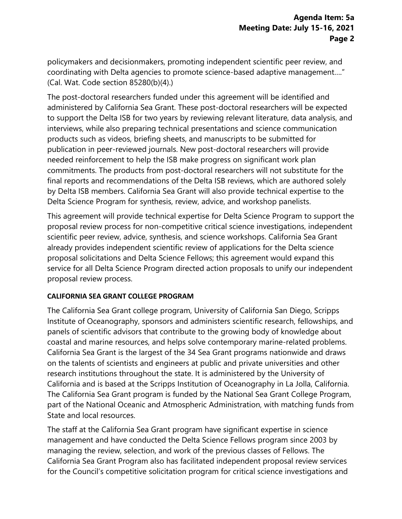policymakers and decisionmakers, promoting independent scientific peer review, and coordinating with Delta agencies to promote science-based adaptive management…." (Cal. Wat. Code section 85280(b)(4).)

The post-doctoral researchers funded under this agreement will be identified and administered by California Sea Grant. These post-doctoral researchers will be expected to support the Delta ISB for two years by reviewing relevant literature, data analysis, and interviews, while also preparing technical presentations and science communication products such as videos, briefing sheets, and manuscripts to be submitted for publication in peer-reviewed journals. New post-doctoral researchers will provide needed reinforcement to help the ISB make progress on significant work plan commitments. The products from post-doctoral researchers will not substitute for the final reports and recommendations of the Delta ISB reviews, which are authored solely by Delta ISB members. California Sea Grant will also provide technical expertise to the Delta Science Program for synthesis, review, advice, and workshop panelists.

This agreement will provide technical expertise for Delta Science Program to support the proposal review process for non-competitive critical science investigations, independent scientific peer review, advice, synthesis, and science workshops. California Sea Grant already provides independent scientific review of applications for the Delta science proposal solicitations and Delta Science Fellows; this agreement would expand this service for all Delta Science Program directed action proposals to unify our independent proposal review process.

#### **CALIFORNIA SEA GRANT COLLEGE PROGRAM**

The California Sea Grant college program, University of California San Diego, Scripps Institute of Oceanography, sponsors and administers scientific research, fellowships, and panels of scientific advisors that contribute to the growing body of knowledge about coastal and marine resources, and helps solve contemporary marine-related problems. California Sea Grant is the largest of the 34 Sea Grant programs nationwide and draws on the talents of scientists and engineers at public and private universities and other research institutions throughout the state. It is administered by the University of California and is based at the Scripps Institution of Oceanography in La Jolla, California. The California Sea Grant program is funded by the National Sea Grant College Program, part of the National Oceanic and Atmospheric Administration, with matching funds from State and local resources.

The staff at the California Sea Grant program have significant expertise in science management and have conducted the Delta Science Fellows program since 2003 by managing the review, selection, and work of the previous classes of Fellows. The California Sea Grant Program also has facilitated independent proposal review services for the Council's competitive solicitation program for critical science investigations and